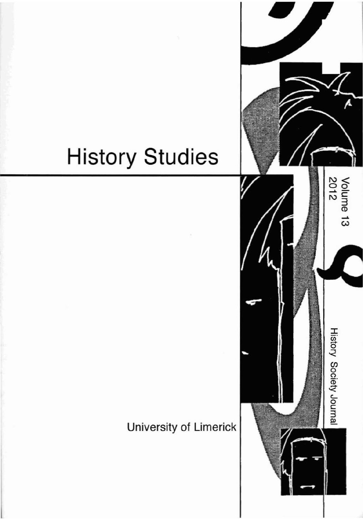# **History Studies**

## University of Limerick

Volume 13<br>2012

**History Society Journal**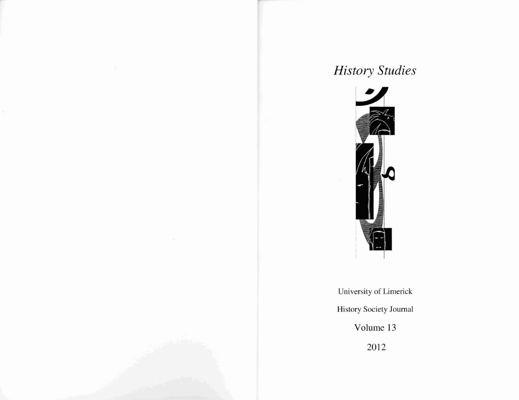# *History Studies*



University of Limerick History Society Journal Volume 13 2012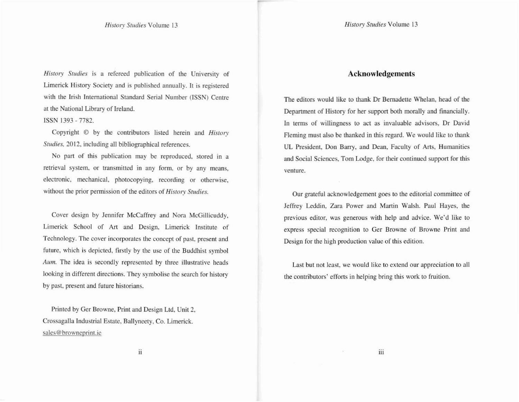*History Studies* Volume 13

*His/ory Studies* **is a refereed publication of the University of** Limerick History Society and is published annually. It is registered with the Irish International Standard Serial Number (ISSN) Centre at the National Library of Ireland.

#### ISSN 1393 - 7782.

Copyright © by the contributors listed herein and *His/ory* Studies, 2012, including all bibliographical references.

No part of this publication may be reproduced. stored in a **retrieval system, or transmitted in any form. or by any means. electronic, mechanical, photocopying, recording or otherwise, without the prior pennission of the editors of His/ory Swdies.**

Cover design by Jennifer McCaffrey and Nora McGillicuddy, **Limerick School of Art and Design, Limerick Institute of** Technology. The cover incorporates the concept of past, present and future, which is depicted, firstly by the use of the Buddhist symbol **AIiII1. The idea is secondly represented by three illustrative heads** looking in different directions. They symbolise the search for history by past, present and future historians.

Printed by Ger Browne, Print and Design Ltd, Unit 2, Crossagalla Industrial Estate, BaIlyneety, Co. Limerick. **sales@browneprint.ie**

#### **Acknowledgements**

The editors would like to thank Dr Bernadette Whelan, head of the Department of History for her support both morally and financially. In terms of willingness to act as invaluable advisors, Dr David Fleming must also be thanked in this regard. We would like to thank UL President, Don Barry, and Dean, Faculty of Arts, Humanities **and Social Sciences, Tom Lodge, for their continued support for this venture.**

**Our grateful acknowledgement goes to the editorial committee of** Jeffrey Leddin, Zara Power and Martin Walsh. Paul Hayes, the **previous editor, was generous with help and advice. We'd like la express special recognition to Ger Browne of Browne Print and** Design for the high production value of this edition.

Last but not least, we would like to extend our appreciation to all **the contributors' efforts in helping bring this work to fruition.**

ii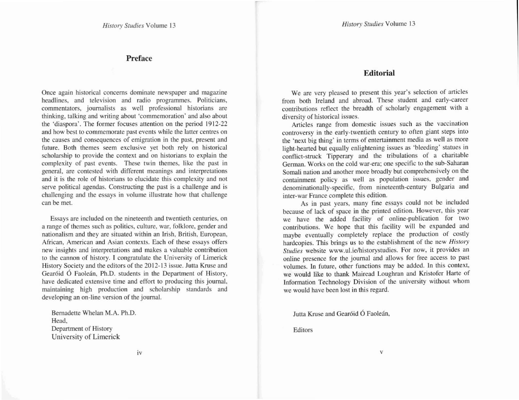#### Preface

**Once again historical concerns dominate newspaper and magazine headlines, and television and radio programmes. Politicians. commentators, journalists as well professional historians are thinking, talking and writing about 'commemoration' and also about** the 'diaspora'. The former focuses attention on the period 1912-22 **and how best to commemorate past events while the latter centres on the causes and consequences of emigration in the past, present and future. Both themes seem exclusive yet both rely on historical scholarship to provide the context and on historians to explain the complexity of past events. These twin themes. like the past in general, are contested with different meanings and interpretations and it is the role of historians to elucidate this complexity and not serve political agendas. Constructing the past is a challenge and is challenging and the essays in volume illustrate how that challenge can be met.**

**Essays are included on the nineteenth and twentieth centuries. on a range of themes such as politics, culture, war, folklore, gender and nationalism and they are situated within an Irish, British, European, African, American and Asian contexts. Each of these essays offers new insights and interpretations and makes a valuable contribution to the cannon of history. I congratulate the University of Limerick** History Society and the editors of the 2012-13 issue. Jutta Kruse and Gearóid Ó Faoleán, Ph.D. students in the Department of History, **have dedicated extensive time and effort to producing this journal.** maintaining high production and scholarship standards and **developing an on-line version of the journal.**

Bemadette Whelan M.A. Ph.D. Head, Department of History University of Limerick

#### **Editorial**

**We are very pleased to present this year's selection of articles** from both Ireland and abroad. These student and early-career **contributions reflect the breadth of scholarly engagement with a diversity of historical issues.**

**Articles range from domestic issues such as the vaccination** controversy in the early-twentieth century to often giant steps into **the 'next big thing' in terms of entertainment media as well as more** light-hearted but equally enlightening issues as 'bleeding' statues in conflict-struck Tipperary and the tribulations of a charitable **German. Works on the cold war-era; one specific to the sub-Saharan SomaU nation and another more broadly but comprehensively on the containment policy as well as population issues, gender and denominationally-specific. from nineteenth-century Bulgaria and inter-war France complete this edition.**

As in past years, many fine essays could not be included because of lack of space in the printed edition. However, this year we have the added facility of online-publication for two contributions. We hope that this facility will be expanded and maybe eventually completely replace the production of costly **hardcopies. This brings us to the establishment of the new** *Hisro,)' Studies* **website www.ul.ie/historysludies. For now, it provides an online presence for the journal and allows for free access to past volumes. In future, other functions may be added. In this context.** we would like to thank Mairead Loughran and Kristofer Harte of **Information Technology Division of the university without whom** we would have been lost in this regard.

Jutta Kruse and Gearóid Ó Faoleán.

**Editors**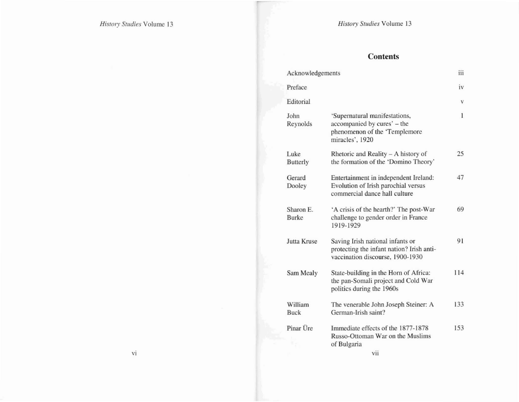### **Contents**

|    | Acknowledgements |                           |                                                                                                                   | iii |
|----|------------------|---------------------------|-------------------------------------------------------------------------------------------------------------------|-----|
|    |                  | Preface                   |                                                                                                                   | iv  |
|    |                  | Editorial                 |                                                                                                                   | V   |
|    |                  | John<br>Reynolds          | 'Supernatural manifestations,<br>accompanied by cures' – the<br>phenomenon of the 'Templemore<br>miracles', 1920  | 1   |
|    |                  | Luke<br><b>Butterly</b>   | Rhetoric and Reality - A history of<br>the formation of the 'Domino Theory'                                       | 25  |
|    |                  | Gerard<br>Dooley          | Entertainment in independent Ireland:<br>Evolution of Irish parochial versus<br>commercial dance hall culture     | 47  |
|    |                  | Sharon E.<br><b>Burke</b> | 'A crisis of the hearth?' The post-War<br>challenge to gender order in France<br>1919-1929                        | 69  |
|    |                  | Jutta Kruse               | Saving Irish national infants or<br>protecting the infant nation? Irish anti-<br>vaccination discourse, 1900-1930 | 91  |
|    |                  | Sam Mealy                 | State-building in the Horn of Africa:<br>the pan-Somali project and Cold War<br>politics during the 1960s         | 114 |
|    |                  | William<br><b>Buck</b>    | The venerable John Joseph Steiner: A<br>German-Irish saint?                                                       | 133 |
|    |                  | Pinar Üre                 | Immediate effects of the 1877-1878<br>Russo-Ottoman War on the Muslims<br>of Bulgaria                             | 153 |
| vi |                  |                           | vii                                                                                                               |     |